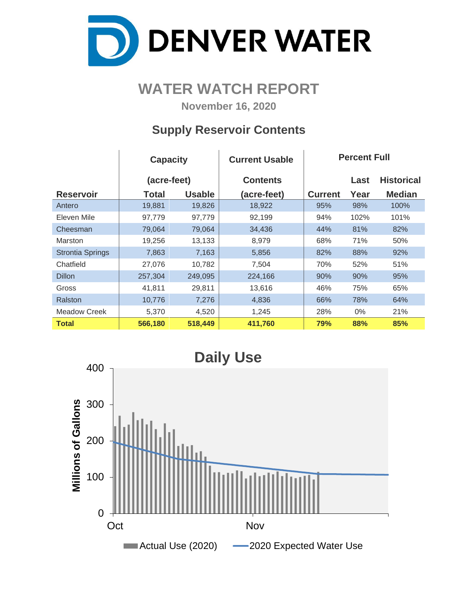

# **WATER WATCH REPORT**

**November 16, 2020**

# **Supply Reservoir Contents**

|                         | <b>Capacity</b> |               | <b>Current Usable</b> | <b>Percent Full</b> |       |                   |  |  |  |
|-------------------------|-----------------|---------------|-----------------------|---------------------|-------|-------------------|--|--|--|
|                         | (acre-feet)     |               | <b>Contents</b>       |                     | Last  | <b>Historical</b> |  |  |  |
| <b>Reservoir</b>        | Total           | <b>Usable</b> | (acre-feet)           | <b>Current</b>      | Year  | <b>Median</b>     |  |  |  |
| Antero                  | 19,881          | 19,826        | 18,922                | 95%                 | 98%   | 100%              |  |  |  |
| Eleven Mile             | 97,779          | 97,779        | 92,199                | 94%                 | 102%  | 101%              |  |  |  |
| Cheesman                | 79,064          | 79,064        | 34,436                | 44%                 | 81%   | 82%               |  |  |  |
| <b>Marston</b>          | 19,256          | 13,133        | 8,979                 | 68%                 | 71%   | 50%               |  |  |  |
| <b>Strontia Springs</b> | 7,863           | 7,163         | 5,856                 | 82%                 | 88%   | 92%               |  |  |  |
| Chatfield               | 27,076          | 10,782        | 7,504                 | 70%                 | 52%   | 51%               |  |  |  |
| <b>Dillon</b>           | 257,304         | 249,095       | 224,166               | 90%                 | 90%   | 95%               |  |  |  |
| Gross                   | 41,811          | 29,811        | 13,616                | 46%                 | 75%   | 65%               |  |  |  |
| Ralston                 | 10,776          | 7,276         | 4,836                 | 66%                 | 78%   | 64%               |  |  |  |
| Meadow Creek            | 5,370           | 4,520         | 1,245                 | 28%                 | $0\%$ | 21%               |  |  |  |
| <b>Total</b>            | 566,180         | 518,449       | 411,760               | 79%                 | 88%   | 85%               |  |  |  |

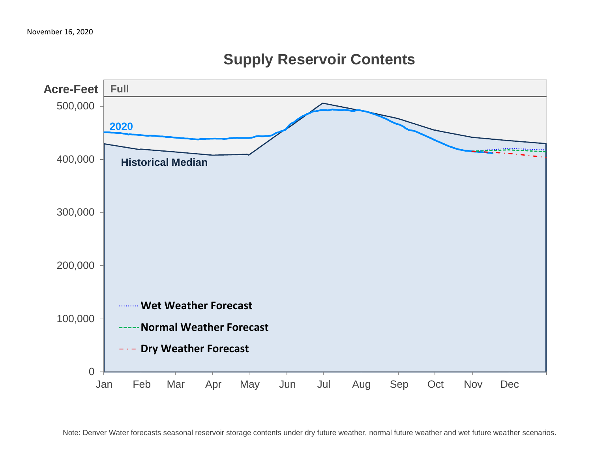

# **Supply Reservoir Contents**

Note: Denver Water forecasts seasonal reservoir storage contents under dry future weather, normal future weather and wet future weather scenarios.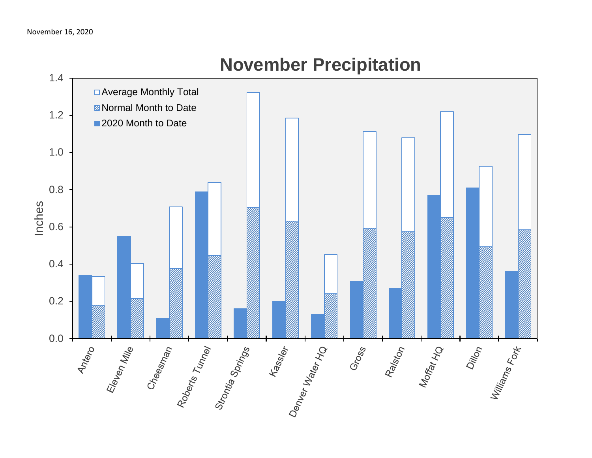

# **November Precipitation**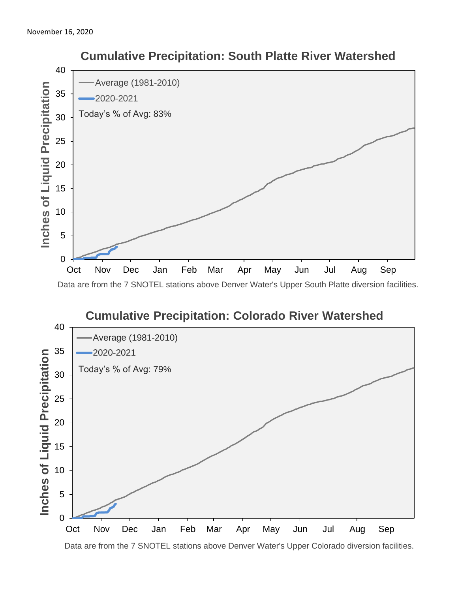

### **Cumulative Precipitation: Colorado River Watershed** 40 Average (1981-2010) 35 2020-2021 Inches of Liquid Precipitation **Inches of Liquid Precipitation** Today's % of Avg: 79% 30 25 20 15 10 5 0

Data are from the 7 SNOTEL stations above Denver Water's Upper Colorado diversion facilities.

Oct Nov Dec Jan Feb Mar Apr May Jun Jul Aug Sep

# **Cumulative Precipitation: South Platte River Watershed**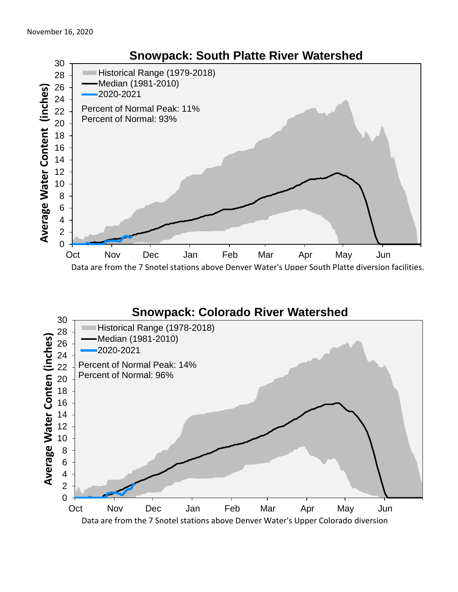

#### **Snowpack: Colorado River Watershed**

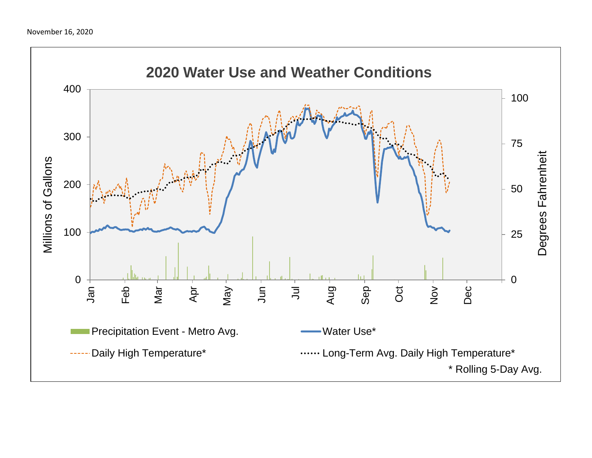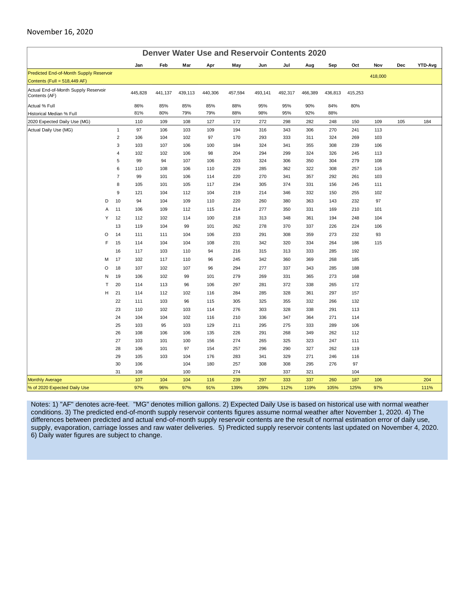#### November 16, 2020

| <b>Denver Water Use and Reservoir Contents 2020</b>                      |                          |            |                          |                   |                           |                    |                           |                           |                    |                          |            |     |             |
|--------------------------------------------------------------------------|--------------------------|------------|--------------------------|-------------------|---------------------------|--------------------|---------------------------|---------------------------|--------------------|--------------------------|------------|-----|-------------|
|                                                                          | Jan                      | Feb        | Mar                      | Apr               | May                       | Jun                | Jul                       | Aug                       | Sep                | Oct                      | Nov        | Dec | YTD-Avg     |
| Predicted End-of-Month Supply Reservoir                                  |                          |            |                          |                   |                           |                    |                           |                           |                    |                          | 418,000    |     |             |
| Contents (Full = 518,449 AF)                                             |                          |            |                          |                   |                           |                    |                           |                           |                    |                          |            |     |             |
| Actual End-of-Month Supply Reservoir<br>Contents (AF)                    | 445,828                  | 441,137    | 439,113                  | 440,306           | 457,594                   | 493,141            | 492,317                   | 466,389                   | 436,813            | 415,253                  |            |     |             |
| Actual % Full                                                            | 86%                      | 85%        | 85%                      | 85%               | 88%                       | 95%                | 95%                       | 90%                       | 84%                | 80%                      |            |     |             |
| Historical Median % Full                                                 | 81%                      | 80%        | 79%                      | 79%               | 88%                       | 98%                | 95%                       | 92%                       | 88%                |                          |            |     |             |
| 2020 Expected Daily Use (MG)                                             | 110                      | 109        | 108                      | 127               | 172                       | 272                | 298                       | 282                       | 248                | 150                      | 109        | 105 | 184         |
| Actual Daily Use (MG)<br>$\mathbf{1}$                                    | 97                       | 106        | 103                      | 109               | 194                       | 316                | 343                       | 306                       | 270                | 241                      | 113        |     |             |
| $\overline{2}$                                                           | 106                      | 104        | 102                      | 97                | 170                       | 293                | 333                       | 311                       | 324                | 269                      | 103        |     |             |
| 3                                                                        | 103                      | 107        | 106                      | 100               | 184                       | 324                | 341                       | 355                       | 308                | 239                      | 106        |     |             |
| $\overline{4}$                                                           | 102                      | 102        | 106                      | 98                | 204                       | 294                | 299                       | 324                       | 326                | 245                      | 113        |     |             |
| 5                                                                        | 99                       | 94         | 107                      | 106               | 203                       | 324                | 306                       | 350                       | 304                | 279                      | 108        |     |             |
| 6                                                                        | 110                      | 108        | 106                      | 110               | 229                       | 285                | 362                       | 322                       | 308                | 257                      | 116        |     |             |
| $\overline{7}$                                                           | 99                       | 101        | 106                      | 114               | 220                       | 270                | 341                       | 357                       | 292                | 261                      | 103        |     |             |
| 8                                                                        | 105                      | 101        | 105                      | 117               | 234                       | 305                | 374                       | 331                       | 156                | 245                      | 111        |     |             |
| 9                                                                        | 121                      | 104        | 112                      | 104               | 219                       | 214                | 346                       | 332                       | 150                | 255                      | 102        |     |             |
| D<br>10                                                                  | 94                       | 104        | 109                      | 110               | 220                       | 260                | 380                       | 363                       | 143                | 232                      | 97         |     |             |
| 11<br>$\overline{A}$                                                     | 106                      | 109        | 112                      | 115               | 214                       | 277                | 350                       | 331                       | 169                | 210                      | 101        |     |             |
| Y<br>12                                                                  | 112                      | 102        | 114                      | 100               | 218                       | 313                | 348                       | 361                       | 194                | 248                      | 104        |     |             |
| 13                                                                       | 119                      | 104        | 99                       | 101               | 262                       | 278                | 370                       | 337                       | 226                | 224                      | 106        |     |             |
| O<br>14                                                                  | 111                      | 111        | 104                      | 106               | 233                       | 291                | 308                       | 359                       | 273                | 232                      | 93         |     |             |
| F<br>15                                                                  | 114                      | 104        | 104                      | 108               | 231                       | 342                | 320                       | 334                       | 264                | 186                      | 115        |     |             |
| 16                                                                       | 117                      | 103        | 110                      | 94                | 216                       | 315                | 313                       | 333                       | 285                | 192                      |            |     |             |
| 17<br>M                                                                  | 102                      | 117        | 110                      | 96                | 245                       | 342                | 360                       | 369                       | 268                | 185                      |            |     |             |
| 18<br>O                                                                  | 107                      | 102        | 107                      | 96                | 294                       | 277                | 337                       | 343                       | 285                | 188                      |            |     |             |
| 19<br>N                                                                  | 106                      | 102        | 99                       | 101               | 279                       | 269                | 331                       | 365                       | 273                | 168                      |            |     |             |
| T<br>20                                                                  | 114                      | 113        | 96                       | 106               | 297                       | 281                | 372                       | 338                       | 265                | 172                      |            |     |             |
| H<br>21                                                                  | 114                      | 112        | 102                      | 116               | 284                       | 285                | 328                       | 361                       | 297                | 157                      |            |     |             |
| 22                                                                       | 111                      | 103        | 96                       | 115               | 305                       | 325                | 355                       | 332                       | 266                | 132                      |            |     |             |
| 23                                                                       | 110                      | 102        | 103                      | 114               | 276                       | 303                | 328                       | 338                       | 291                | 113                      |            |     |             |
| 24                                                                       | 104                      | 104        | 102                      | 116               | 210                       | 336                | 347                       | 364                       | 271                | 114                      |            |     |             |
| 25                                                                       | 103                      | 95         | 103                      | 129               | 211                       | 295                | 275                       | 333                       | 289                | 106                      |            |     |             |
| 26                                                                       | 108                      | 106        | 106                      | 135               | 226                       | 291                | 268                       | 349                       | 262                | 112                      |            |     |             |
| 27                                                                       | 103                      | 101        | 100                      | 156               | 274                       | 265                | 325                       | 323                       | 247                | 111                      |            |     |             |
| 28                                                                       | 106                      | 101        | 97                       | 154               | 257                       | 296                | 290                       | 327                       | 262                | 119                      |            |     |             |
|                                                                          | 105                      | 103        | 104                      | 176               | 283                       | 341                | 329                       | 271                       | 246                | 116                      |            |     |             |
|                                                                          |                          |            |                          |                   |                           |                    |                           |                           |                    |                          |            |     |             |
|                                                                          |                          |            |                          |                   |                           |                    |                           |                           |                    |                          |            |     |             |
|                                                                          |                          |            |                          |                   |                           |                    |                           |                           |                    |                          |            |     |             |
| 29<br>30<br>31<br><b>Monthly Average</b><br>% of 2020 Expected Daily Use | 106<br>108<br>107<br>97% | 104<br>96% | 104<br>100<br>104<br>97% | 180<br>116<br>91% | 257<br>274<br>239<br>139% | 308<br>297<br>109% | 308<br>337<br>333<br>112% | 295<br>321<br>337<br>119% | 276<br>260<br>105% | 97<br>104<br>187<br>125% | 106<br>97% |     | 204<br>111% |

Notes: 1) "AF" denotes acre-feet. "MG" denotes million gallons. 2) Expected Daily Use is based on historical use with normal weather conditions. 3) The predicted end-of-month supply reservoir contents figures assume normal weather after November 1, 2020. 4) The differences between predicted and actual end-of-month supply reservoir contents are the result of normal estimation error of daily use, supply, evaporation, carriage losses and raw water deliveries. 5) Predicted supply reservoir contents last updated on November 4, 2020. 6) Daily water figures are subject to change.